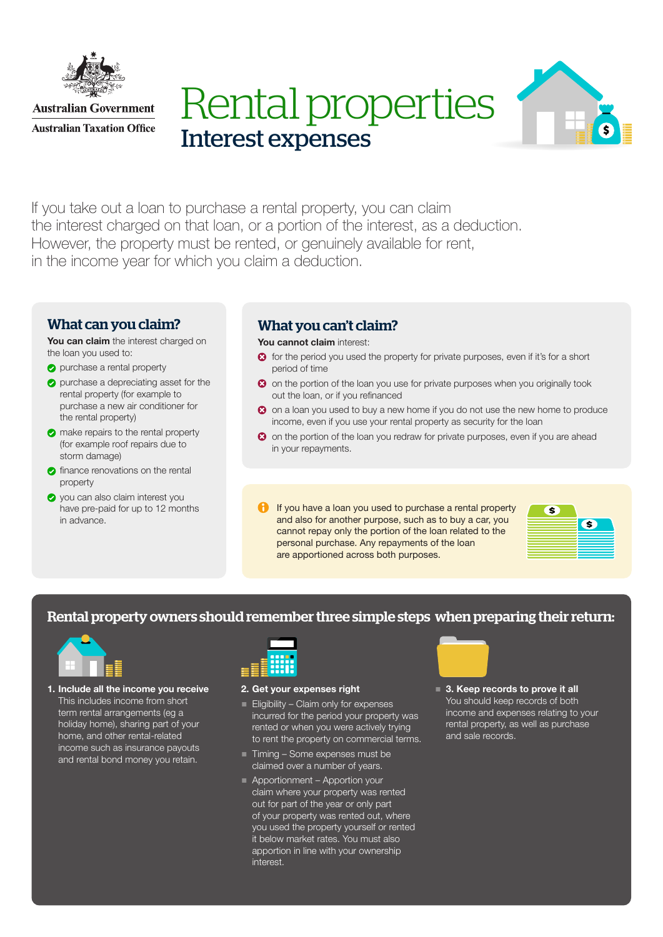

**Australian Government Australian Taxation Office** 





If you take out a loan to purchase a rental property, you can claim the interest charged on that loan, or a portion of the interest, as a deduction. However, the property must be rented, or genuinely available for rent, in the income year for which you claim a deduction.

## What can you claim?

You can claim the interest charged on the loan you used to:

- **purchase a rental property**
- **O** purchase a depreciating asset for the rental property (for example to purchase a new air conditioner for the rental property)
- $\bullet$  make repairs to the rental property (for example roof repairs due to storm damage)
- **C** finance renovations on the rental property
- **O** you can also claim interest you have pre-paid for up to 12 months in advance.

# What you can't claim?

### You cannot claim interest:

- $\bullet$  for the period you used the property for private purposes, even if it's for a short period of time
- <sup>3</sup> on the portion of the loan you use for private purposes when you originally took out the loan, or if you refinanced
- <sup>3</sup> on a loan you used to buy a new home if you do not use the new home to produce income, even if you use your rental property as security for the loan
- <sup>3</sup> on the portion of the loan you redraw for private purposes, even if you are ahead in your repayments.
- **If you have a loan you used to purchase a rental property** and also for another purpose, such as to buy a car, you cannot repay only the portion of the loan related to the personal purchase. Any repayments of the loan are apportioned across both purposes.



## Rental property owners should remember three simple steps when preparing their return:



1. Include all the income you receive This includes income from short term rental arrangements (eg a holiday home), sharing part of your home, and other rental-related income such as insurance payouts and rental bond money you retain.



### 2. Get your expenses right

- $E$ ligibility Claim only for expenses incurred for the period your property was rented or when you were actively trying to rent the property on commercial terms.
- Timing Some expenses must be claimed over a number of years.
- Apportionment Apportion your claim where your property was rented out for part of the year or only part of your property was rented out, where you used the property yourself or rented it below market rates. You must also apportion in line with your ownership interest.



■ 3. Keep records to prove it all You should keep records of both income and expenses relating to your rental property, as well as purchase and sale records.